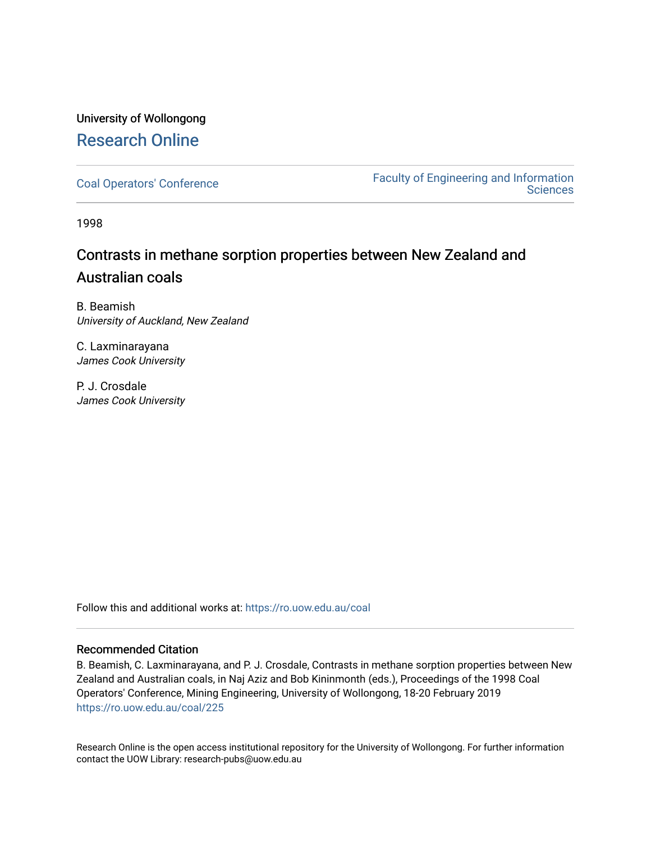# University of Wollongong [Research Online](https://ro.uow.edu.au/)

[Coal Operators' Conference](https://ro.uow.edu.au/coal) [Faculty of Engineering and Information](https://ro.uow.edu.au/eis)  **Sciences** 

1998

# Contrasts in methane sorption properties between New Zealand and Australian coals

B. Beamish University of Auckland, New Zealand

C. Laxminarayana James Cook University

P. J. Crosdale James Cook University

Follow this and additional works at: [https://ro.uow.edu.au/coal](https://ro.uow.edu.au/coal?utm_source=ro.uow.edu.au%2Fcoal%2F225&utm_medium=PDF&utm_campaign=PDFCoverPages) 

#### Recommended Citation

B. Beamish, C. Laxminarayana, and P. J. Crosdale, Contrasts in methane sorption properties between New Zealand and Australian coals, in Naj Aziz and Bob Kininmonth (eds.), Proceedings of the 1998 Coal Operators' Conference, Mining Engineering, University of Wollongong, 18-20 February 2019 [https://ro.uow.edu.au/coal/225](https://ro.uow.edu.au/coal/225?utm_source=ro.uow.edu.au%2Fcoal%2F225&utm_medium=PDF&utm_campaign=PDFCoverPages) 

Research Online is the open access institutional repository for the University of Wollongong. For further information contact the UOW Library: research-pubs@uow.edu.au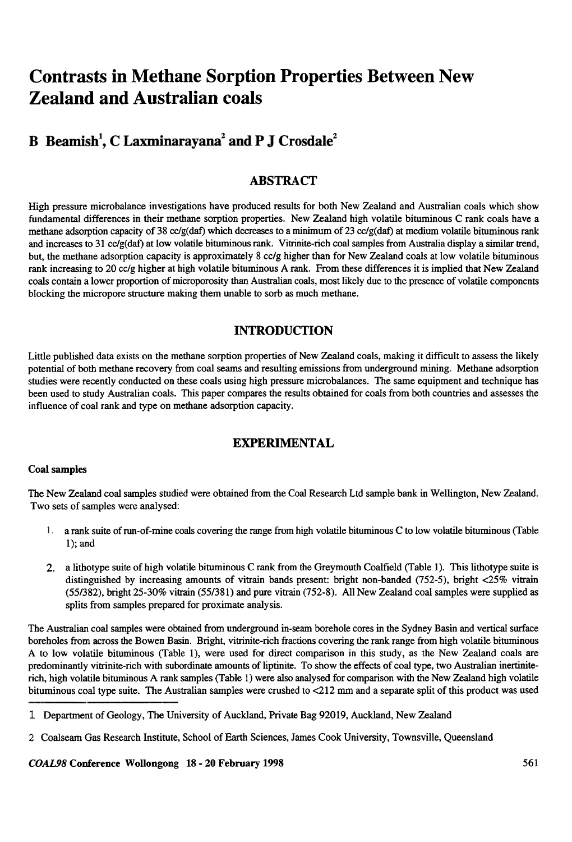# Contrasts in Methane Sorption Properties Between New Zealand and Australian coals

# B Beamish<sup>1</sup>, C Laxminaravana<sup>2</sup> and P J Crosdale<sup>2</sup>

# ABSTRACT

High pressure microbalance investigations have produced results for both New Zealand and Australian coals which show fundamental differences in their methane sorption properties. New Zealand high volatile bituminous C rank coals have a methane adsorption capacity of 38 cc/g(daf) which decreases to a minimum of 23 cc/g(daf) at medium volatile bituminous rank and increases to 31 cc/g(daf) at low volatile bituminous rank. Vitrinite-rich coal samples from Australia display a similar trend, but, the methane adsorption capacity is approximately 8 cc/g higher than for New Zealand coals at low volatile bituminous rank increasing to 20 cc/g higher at high volatile bituminous A rank. From these differences it is implied that New Zealand coals contain a lower proportion of microporosity than Australian coals, most likely due to the presence of volatile components blocking the micropore structure making them unable to sorb as much methane.

## INTRODUCTION

Little published data exists on the methane sorption properties of New Zealand coals, making it difficult to assess the likely potential of both methane recovery from coal seams and resulting emissions from underground mining. Methane adsorption studies were recently conducted on these coals using high pressure microbalances. The same equipment and technique has been used to study Australian coals. This paper compares the results obtained for coals from both countries and assesses the influence of coal rank and type on methane adsorption capacity.

# **EXPERIMENTAL**

#### Coal samples

The New Zealand coal samples studied were obtained from the Coal Research Ltd sample bank in Wellington, New Zealand. Two sets of samples were analysed:

- 1. a rank suite of run-of-mine coals covering the range from high volatile bituminous C to low volatile bituminous (Table I); and
- 2. a lithotype suite of high volatile bituminous C rank from the Greymouth Coalfield (Table I). This lithotype suite is distinguished by increasing amounts of vitrain bands present: bright non-banded (752-5), bright <25% vitrain (55/382), bright 25-30% vitrain (55/381) and pure vitrain (752-8). All New Zealand coal samples were supplied as splits from samples prepared for proximate analysis.

The Australian coal samples were obtained from underground in-seam borehole cores in the Sydney Basin and vertical surface boreholes from across the Bowen Basin. Bright, vitrinite-rich fractions covering the rank range from high volatile bituminous A to low volatile bituminous (Table I), were used for direct comparison in this study, as the New Zealand coals are predominantly vitrinite-rich with subordinate amounts of liptinite. To show the effects of coal type, two Australian inertiniterich, high volatile bituminous A rank samples (Table I) were also analysed for comparison with the New Zealand high volatile bituminous coal type suite. The Australian samples were crushed to <212 mm and a separate split of this product was used

<sup>1</sup> Department of Geology, The University of Auckland, Private Bag 92019, Auckland, New Zealand

<sup>2</sup> Coalseam Gas Research Institute, School of Earth Sciences, James Cook University , Townsville, Queensland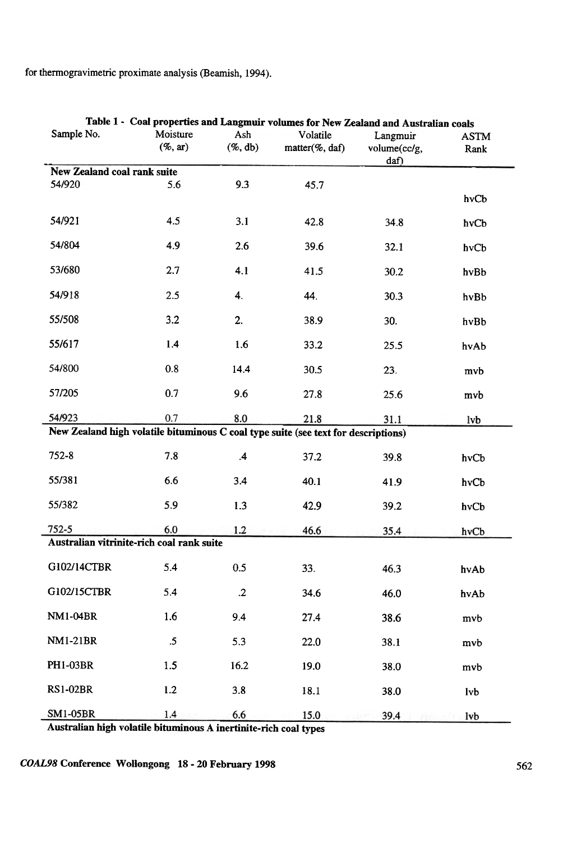for thennogravimetric proximate analysis (Beamish, 1994).

| Table 1 - Coal properties and Langmuir volumes for New Zealand and Australian coals |                                |                    |                                               |                                  |                     |  |  |  |
|-------------------------------------------------------------------------------------|--------------------------------|--------------------|-----------------------------------------------|----------------------------------|---------------------|--|--|--|
| Sample No.                                                                          | Moisture<br>$(\% , \text{ar})$ | Ash<br>$(\%$ , db) | Volatile<br>$matter(% \theta)$ matter(%, daf) | Langmuir<br>volume(cc/g,<br>daf) | <b>ASTM</b><br>Rank |  |  |  |
| <b>New Zealand coal rank suite</b>                                                  |                                |                    |                                               |                                  |                     |  |  |  |
| 54/920                                                                              | 5.6                            | 9.3                | 45.7                                          |                                  | hvCb                |  |  |  |
| 54/921                                                                              | 4.5                            | 3.1                | 42.8                                          | 34.8                             | hvCb                |  |  |  |
| 54/804                                                                              | 4.9                            | 2.6                | 39.6                                          | 32.1                             | hvCb                |  |  |  |
| 53/680                                                                              | 2.7                            | 4.1                | 41.5                                          | 30.2                             | hvBb                |  |  |  |
| 54/918                                                                              | 2.5                            | 4.                 | 44.                                           | 30.3                             | hvBb                |  |  |  |
| 55/508                                                                              | 3.2                            | 2.                 | 38.9                                          | 30.                              | hvBb                |  |  |  |
| 55/617                                                                              | 1.4                            | 1.6                | 33.2                                          | 25.5                             | hvAb                |  |  |  |
| 54/800                                                                              | 0.8                            | 14.4               | 30.5                                          | 23.                              | mvb                 |  |  |  |
| 57/205                                                                              | 0.7                            | 9.6                | 27.8                                          | 25.6                             | mvb                 |  |  |  |
| 54/923                                                                              | 0.7                            | 8.0                | 21.8                                          | 31.1                             | lvb                 |  |  |  |
| New Zealand high volatile bituminous C coal type suite (see text for descriptions)  |                                |                    |                                               |                                  |                     |  |  |  |
| $752 - 8$                                                                           | 7.8                            | $\mathcal{A}$      | 37.2                                          | 39.8                             | hvCb                |  |  |  |
| 55/381                                                                              | 6.6                            | 3.4                | 40.1                                          | 41.9                             | hvCb                |  |  |  |
| 55/382                                                                              | 5.9                            | 1.3                | 42.9                                          | 39.2                             | hvCb                |  |  |  |
| $752 - 5$                                                                           | 6.0                            | 1.2                | 46.6                                          | 35.4                             | hvCb                |  |  |  |
| Australian vitrinite-rich coal rank suite                                           |                                |                    |                                               |                                  |                     |  |  |  |
| G102/14CTBR                                                                         | 5.4                            | 0.5                | 33.                                           | 46.3                             | hvAb                |  |  |  |
| G102/15CTBR                                                                         | 5.4                            | $\cdot$ .2         | 34.6                                          | 46.0                             | hvAb                |  |  |  |
| <b>NM1-04BR</b>                                                                     | 1.6                            | 9.4                | 27.4                                          | 38.6                             | mvb                 |  |  |  |
| <b>NM1-21BR</b>                                                                     | $.5\,$                         | 5.3                | 22.0                                          | 38.1                             | mvb                 |  |  |  |
| <b>PH1-03BR</b>                                                                     | 1.5                            | 16.2               | 19.0                                          | 38.0                             | mvb                 |  |  |  |
| <b>RS1-02BR</b>                                                                     | 1.2                            | 3.8                | 18.1                                          | 38.0                             | <b>lvb</b>          |  |  |  |
| <b>SM1-05BR</b>                                                                     | 1.4                            | 6.6                | 15.0                                          | 39.4                             | lvb                 |  |  |  |

Australian high volatile bituminous A inertinite-rich coal types

COAL98 Conference Wollongong 18 - 20 February 1998 562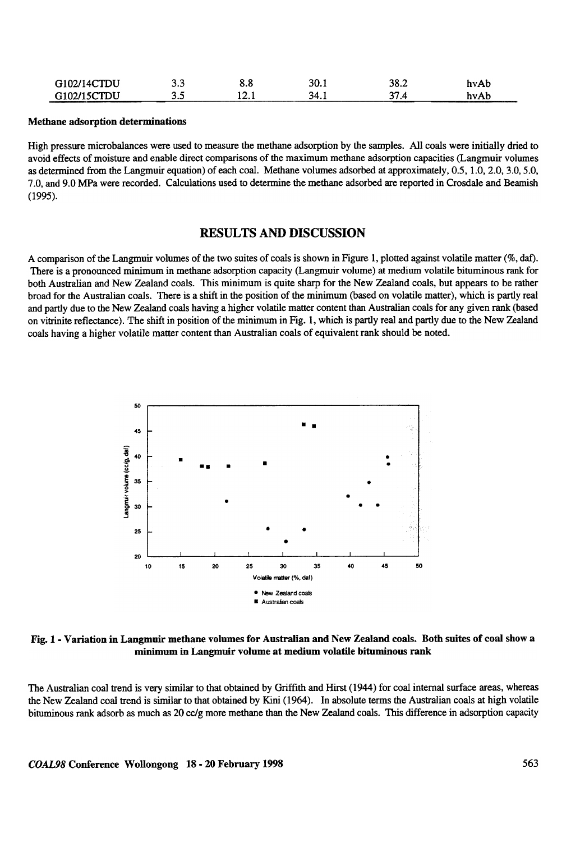| G102/14CTDU | ົ<br>J.J | 0.0    | 30.1 | 38.2 | hvAb |
|-------------|----------|--------|------|------|------|
| G102/15CTDU | J.J      | L 2. 1 | 34.I |      | hvAb |

#### Methane adsorption determinations

High pressure microbalances were used to measure the methane adsorption by the samples. All coals were initially dried to avoid effects of moisture and enable direct comparisons of the maximum methane adsorption capacities (Langmuir volumes as determined from the Langmuir equation) of each coal. Methane volumes adsorbed at approximately, 0.5, 1.0,2.0,3.0,5.0, 7.0, and 9.0 MPa were recorded. Calculations used to determine the methane adsorbed are reported in Crosdale and Beamish (1995).

### RESULTS AND DISCUSSION

A comparison of the Langmuir volumes of the two suites of coals is shown in Figure I, plotted against volatile matter (%, daf). There is a pronounced minimum in methane adsorption capacity (Langmuir volume) at medium volatile bituminous rank for both Australian and New Zealand coals. This minimum is quite sharp for the New Zealand coals, but appears to be rather broad for the Australian coals. There is a shift in the position of the minimum (based on volatile matter), which is partly real and partly due to the New Zealand coals having a higher volatile matter content than Australian coals for any given rank (based on vitrinite reflectance). The shift in position of the minimum in Fig. I, which is partly real and partly due to the New Zealand coals having a higher volatile matter content than Australian coals of equivalent rank should be noted.



Fig. 1 -Variation in Langmuir methane volumes for Australian and New Zealand coals. Both suites of coal show a minimum in Langmuir volume at medium volatile bituminous rank

The Australian coal trend is very similar to that obtained by Griffith and Hirst ( 1944 ) for coal internal surface areas, whereas the New Zealand coal trend is similar to that obtained by Kini (1964). In absolute terms the Australian coals at high volatile bituminous rank adsorb as much as 20 cc/g more methane than the New Zealand coals. This difference in adsorption capacity

COAL98 Conference Wollongong 18 - 20 February 1998 563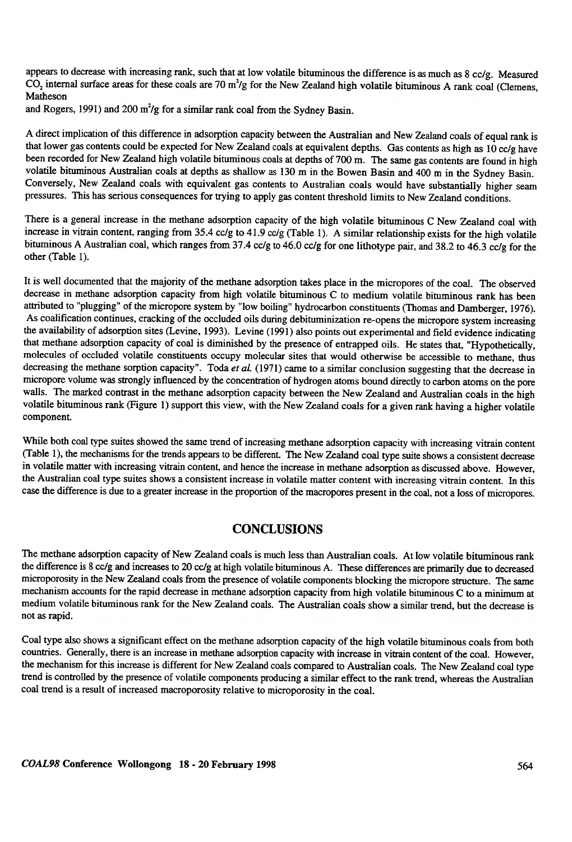appears to decrease with increasing rank, such that at low volatile bituminous the difference is as much as 8 cc/g. Measured  $\overrightarrow{CO}$ , internal surface areas for these coals are 70 m<sup>2</sup>/g for the New Zealand high volatile bituminous A rank coal (Clemens, Matheson

and Rogers, 1991) and 200 m<sup>2</sup>/g for a similar rank coal from the Sydney Basin.

A direct implication of this difference in adsorption capacity between the Australian and New Zealand coals of equal rank is that lower gas contents could be expected for New Zealand coals at equivalent depths. Gas contents as high as 10 cc/g have been recorded for New Zealand high volatile bituminous coals at depths of 700 m. The same gas contents are found in high volatile bituminous Australian coals at depths as shallow as 130 m in the Bowen Basin and 400 m in the Sydney Basin. Conversely, New Zealand coals with equivalent gas contents to Australian coals would have substantially higher seam pressures. This has serious consequences for trying to apply gas content threshold limits to New Zealand conditions.

There is a general increase in the methane adsorption capacity of the high volatile bituminous C New Zealand coal with increase in vitrain content, ranging from 35.4 cc/g to 41.9 cc/g (Table I). A similar relationship exists for the high volatile bituminous A Australian coal, which ranges from 37.4 cc/g to 46.0 cc/g for one lithotype pair, and 38.2 to 46.3 cc/g for the other (Table I).

It is well documented that the majority of the methane adsorption takes place in the micropores of the coal. The observed decrease in methane adsorption capacity from high volatile bituminous C to medium volatile bituminous rank has been attributed to "plugging" of the micropore system by "low boiling" hydrocarbon constituents (Thomas and Damberger, 1976). As coalification continues, cracking of the occluded oils during debituminization re-opens the micropore system increasing the availability of adsorption sites (Levine, 1993). Levine (1991) also points out experimental and field evidence indicating that methane adsorption capacity of coal is diminished by the presence of entrapped oils. He states that, "Hypothetically, molecules of occluded volatile constituents occupy molecular sites that would otherwise be accessible to methane, thus decreasing the methane sorption capacity". Toda et al. (1971) came to a similar conclusion suggesting that the decrease in micropore volume was strongly influenced by the concentration of hydrogen atoms bound directly to carbon atoms on the pore walls. The marked contrast in the methane adsorption capacity between the New Zealand and Australian coals in the high volatile bituminous rank (Figure I) support this view, with the New Zealand coals for a given rank having a higher volatile component.

While both coal type suites showed the same trend of increasing methane adsorption capacity with increasing vitrain content (Table I), the mechanisms for the trends appears to be different. The New Zealand coal type suite shows a consistent decrease in volatile matter with increasing vitrain content, and hence the increase in methane adsorption as discussed above. However, the Australian coal type suites shows a consistent increase in volatile matter content with increasing vitrain content. In this case the difference is due to a greater increase in the proportion of the macropores present in the coal, not a loss of micropores.

### **CONCLUSIONS**

The methane adsorption capacity of New Zealand coals is much less than Australian coals. At low volatile bituminous rank the difference is 8 cc/g and increases to 20 cc/g at high volatile bituminous A. These differences are primarily due to decreased microporosity in the New Zealand coals from the presence of volatile components blocking the micropore structure. The same mechanism accounts for the rapid decrease in methane adsorption capacity from high volatile bituminous C to a minimum at medium volatile bituminous rank for the New Zealand coals. The Australian coals show a similar trend, but the decrease is not as rapid.

Coal type also shows a significant effect on the methane adsorption capacity of the high volatile bituminous coals from both countries. Generally, there is an increase in methane adsorption capacity with increase in vitrain content of the coal. However, the mechanism for this increase is different for New Zealand coals compared to Australian coals. The New Zealand coal type trend is controlled by the presence of volatile components producing a similar effect to the rank trend, whereas the Australian coal trend is a result of increased macroporosity relative to microporosity in the coal.